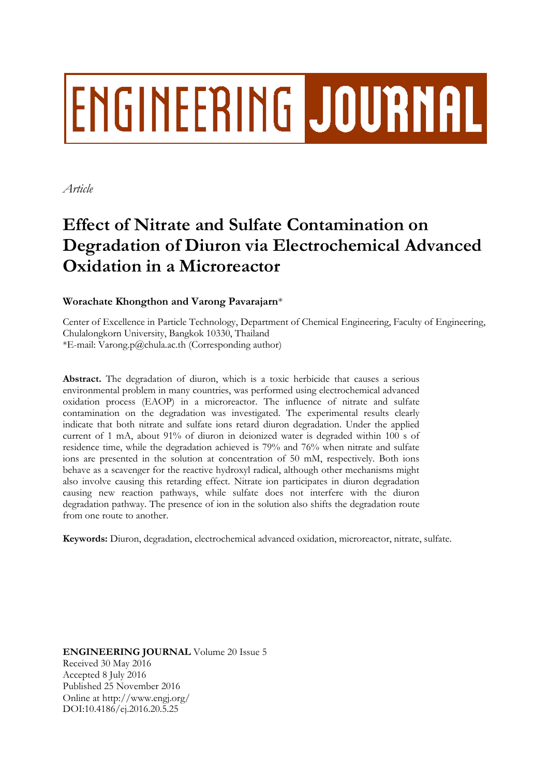# **ENGINEERING JOURNAL**

*Article*

## **Effect of Nitrate and Sulfate Contamination on Degradation of Diuron via Electrochemical Advanced Oxidation in a Microreactor**

### **Worachate Khongthon and Varong Pavarajarn**\*

Center of Excellence in Particle Technology, Department of Chemical Engineering, Faculty of Engineering, Chulalongkorn University, Bangkok 10330, Thailand \*E-mail: Varong.p@chula.ac.th (Corresponding author)

**Abstract.** The degradation of diuron, which is a toxic herbicide that causes a serious environmental problem in many countries, was performed using electrochemical advanced oxidation process (EAOP) in a microreactor. The influence of nitrate and sulfate contamination on the degradation was investigated. The experimental results clearly indicate that both nitrate and sulfate ions retard diuron degradation. Under the applied current of 1 mA, about 91% of diuron in deionized water is degraded within 100 s of residence time, while the degradation achieved is 79% and 76% when nitrate and sulfate ions are presented in the solution at concentration of 50 mM, respectively. Both ions behave as a scavenger for the reactive hydroxyl radical, although other mechanisms might also involve causing this retarding effect. Nitrate ion participates in diuron degradation causing new reaction pathways, while sulfate does not interfere with the diuron degradation pathway. The presence of ion in the solution also shifts the degradation route from one route to another.

**Keywords:** Diuron, degradation, electrochemical advanced oxidation, microreactor, nitrate, sulfate.

**ENGINEERING JOURNAL** Volume 20 Issue 5 Received 30 May 2016 Accepted 8 July 2016 Published 25 November 2016 Online at http://www.engj.org/ DOI:10.4186/ej.2016.20.5.25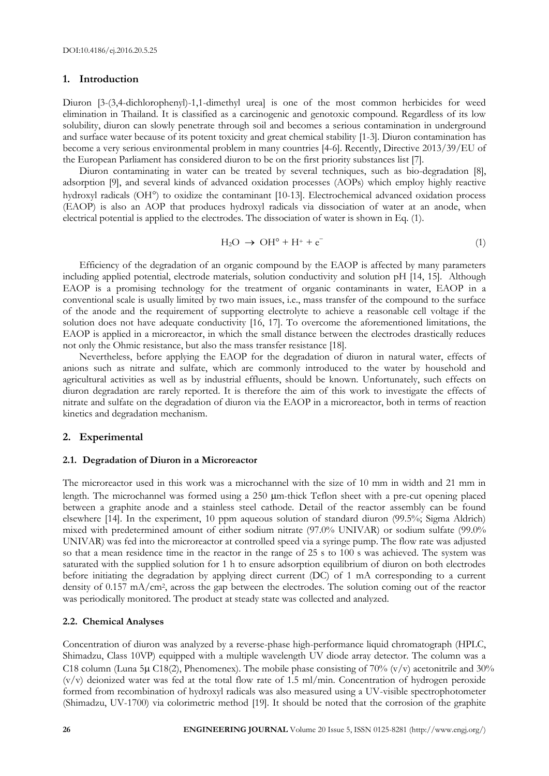#### **1. Introduction**

Diuron [3-(3,4-dichlorophenyl)-1,1-dimethyl urea] is one of the most common herbicides for weed elimination in Thailand. It is classified as a carcinogenic and genotoxic compound. Regardless of its low solubility, diuron can slowly penetrate through soil and becomes a serious contamination in underground and surface water because of its potent toxicity and great chemical stability [1-3]. Diuron contamination has become a very serious environmental problem in many countries [4-6]. Recently, Directive 2013/39/EU of the European Parliament has considered diuron to be on the first priority substances list [7].

Diuron contaminating in water can be treated by several techniques, such as bio-degradation [8], adsorption [9], and several kinds of advanced oxidation processes (AOPs) which employ highly reactive hydroxyl radicals (OH°) to oxidize the contaminant [10-13]. Electrochemical advanced oxidation process (EAOP) is also an AOP that produces hydroxyl radicals via dissociation of water at an anode, when electrical potential is applied to the electrodes. The dissociation of water is shown in Eq. (1).

$$
H_2O \rightarrow OH^{\circ} + H^+ + e^-
$$
 (1)

Efficiency of the degradation of an organic compound by the EAOP is affected by many parameters including applied potential, electrode materials, solution conductivity and solution pH [14, 15]. Although EAOP is a promising technology for the treatment of organic contaminants in water, EAOP in a conventional scale is usually limited by two main issues, i.e., mass transfer of the compound to the surface of the anode and the requirement of supporting electrolyte to achieve a reasonable cell voltage if the solution does not have adequate conductivity [16, 17]. To overcome the aforementioned limitations, the EAOP is applied in a microreactor, in which the small distance between the electrodes drastically reduces not only the Ohmic resistance, but also the mass transfer resistance [18].

Nevertheless, before applying the EAOP for the degradation of diuron in natural water, effects of anions such as nitrate and sulfate, which are commonly introduced to the water by household and agricultural activities as well as by industrial effluents, should be known. Unfortunately, such effects on diuron degradation are rarely reported. It is therefore the aim of this work to investigate the effects of nitrate and sulfate on the degradation of diuron via the EAOP in a microreactor, both in terms of reaction kinetics and degradation mechanism.

#### **2. Experimental**

#### **2.1. Degradation of Diuron in a Microreactor**

The microreactor used in this work was a microchannel with the size of 10 mm in width and 21 mm in length. The microchannel was formed using a 250  $\mu$ m-thick Teflon sheet with a pre-cut opening placed between a graphite anode and a stainless steel cathode. Detail of the reactor assembly can be found elsewhere [14]. In the experiment, 10 ppm aqueous solution of standard diuron (99.5%; Sigma Aldrich) mixed with predetermined amount of either sodium nitrate (97.0% UNIVAR) or sodium sulfate (99.0% UNIVAR) was fed into the microreactor at controlled speed via a syringe pump. The flow rate was adjusted so that a mean residence time in the reactor in the range of 25 s to 100 s was achieved. The system was saturated with the supplied solution for 1 h to ensure adsorption equilibrium of diuron on both electrodes before initiating the degradation by applying direct current (DC) of 1 mA corresponding to a current density of 0.157 mA/cm<sup>2</sup> , across the gap between the electrodes. The solution coming out of the reactor was periodically monitored. The product at steady state was collected and analyzed.

#### **2.2. Chemical Analyses**

Concentration of diuron was analyzed by a reverse-phase high-performance liquid chromatograph (HPLC, Shimadzu, Class 10VP) equipped with a multiple wavelength UV diode array detector. The column was a C18 column (Luna 5 $\mu$  C18(2), Phenomenex). The mobile phase consisting of 70% (v/v) acetonitrile and 30% (v/v) deionized water was fed at the total flow rate of 1.5 ml/min. Concentration of hydrogen peroxide formed from recombination of hydroxyl radicals was also measured using a UV-visible spectrophotometer (Shimadzu, UV-1700) via colorimetric method [19]. It should be noted that the corrosion of the graphite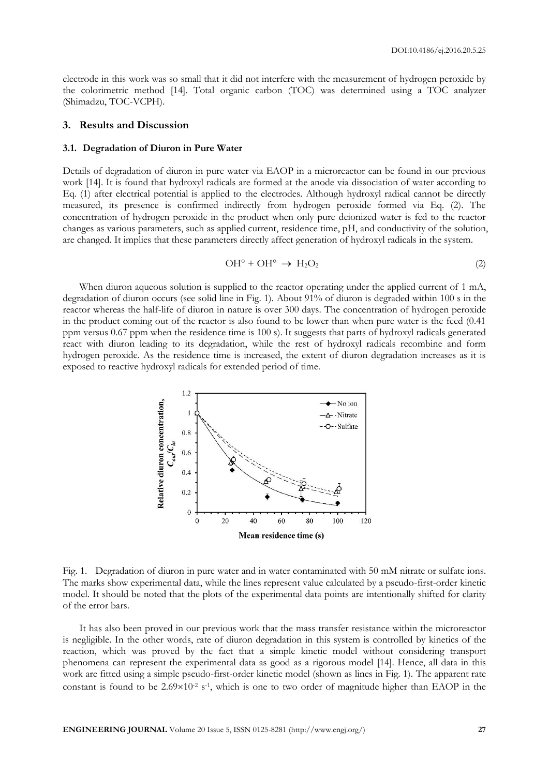electrode in this work was so small that it did not interfere with the measurement of hydrogen peroxide by the colorimetric method [14]. Total organic carbon (TOC) was determined using a TOC analyzer (Shimadzu, TOC-VCPH).

#### **3. Results and Discussion**

#### **3.1. Degradation of Diuron in Pure Water**

Details of degradation of diuron in pure water via EAOP in a microreactor can be found in our previous work [14]. It is found that hydroxyl radicals are formed at the anode via dissociation of water according to Eq. (1) after electrical potential is applied to the electrodes. Although hydroxyl radical cannot be directly measured, its presence is confirmed indirectly from hydrogen peroxide formed via Eq. (2). The concentration of hydrogen peroxide in the product when only pure deionized water is fed to the reactor changes as various parameters, such as applied current, residence time, pH, and conductivity of the solution, are changed. It implies that these parameters directly affect generation of hydroxyl radicals in the system.

$$
\mathrm{OH}^{\circ} + \mathrm{OH}^{\circ} \rightarrow \mathrm{H}_2\mathrm{O}_2 \tag{2}
$$

When diuron aqueous solution is supplied to the reactor operating under the applied current of 1 mA, degradation of diuron occurs (see solid line in Fig. 1). About 91% of diuron is degraded within 100 s in the reactor whereas the half-life of diuron in nature is over 300 days. The concentration of hydrogen peroxide in the product coming out of the reactor is also found to be lower than when pure water is the feed (0.41 ppm versus 0.67 ppm when the residence time is 100 s). It suggests that parts of hydroxyl radicals generated react with diuron leading to its degradation, while the rest of hydroxyl radicals recombine and form hydrogen peroxide. As the residence time is increased, the extent of diuron degradation increases as it is exposed to reactive hydroxyl radicals for extended period of time.



Fig. 1. Degradation of diuron in pure water and in water contaminated with 50 mM nitrate or sulfate ions. The marks show experimental data, while the lines represent value calculated by a pseudo-first-order kinetic model. It should be noted that the plots of the experimental data points are intentionally shifted for clarity of the error bars.

It has also been proved in our previous work that the mass transfer resistance within the microreactor is negligible. In the other words, rate of diuron degradation in this system is controlled by kinetics of the reaction, which was proved by the fact that a simple kinetic model without considering transport phenomena can represent the experimental data as good as a rigorous model [14]. Hence, all data in this work are fitted using a simple pseudo-first-order kinetic model (shown as lines in Fig. 1). The apparent rate constant is found to be  $2.69 \times 10^{-2}$  s<sup>-1</sup>, which is one to two order of magnitude higher than EAOP in the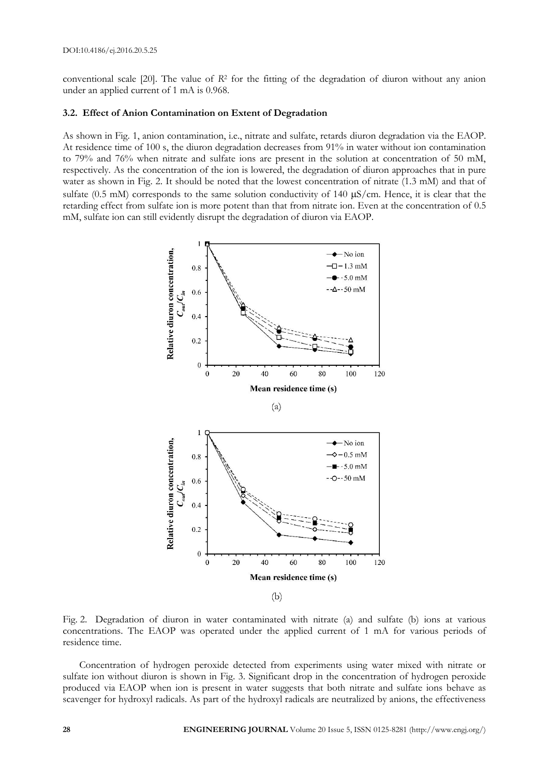conventional scale [20]. The value of *R*<sup>2</sup> for the fitting of the degradation of diuron without any anion under an applied current of 1 mA is 0.968.

#### **3.2. Effect of Anion Contamination on Extent of Degradation**

As shown in Fig. 1, anion contamination, i.e., nitrate and sulfate, retards diuron degradation via the EAOP. At residence time of 100 s, the diuron degradation decreases from 91% in water without ion contamination to 79% and 76% when nitrate and sulfate ions are present in the solution at concentration of 50 mM, respectively. As the concentration of the ion is lowered, the degradation of diuron approaches that in pure water as shown in Fig. 2. It should be noted that the lowest concentration of nitrate (1.3 mM) and that of sulfate (0.5 mM) corresponds to the same solution conductivity of 140  $\mu$ S/cm. Hence, it is clear that the retarding effect from sulfate ion is more potent than that from nitrate ion. Even at the concentration of 0.5 mM, sulfate ion can still evidently disrupt the degradation of diuron via EAOP.



Fig. 2. Degradation of diuron in water contaminated with nitrate (a) and sulfate (b) ions at various concentrations. The EAOP was operated under the applied current of 1 mA for various periods of residence time.

Concentration of hydrogen peroxide detected from experiments using water mixed with nitrate or sulfate ion without diuron is shown in Fig. 3. Significant drop in the concentration of hydrogen peroxide produced via EAOP when ion is present in water suggests that both nitrate and sulfate ions behave as scavenger for hydroxyl radicals. As part of the hydroxyl radicals are neutralized by anions, the effectiveness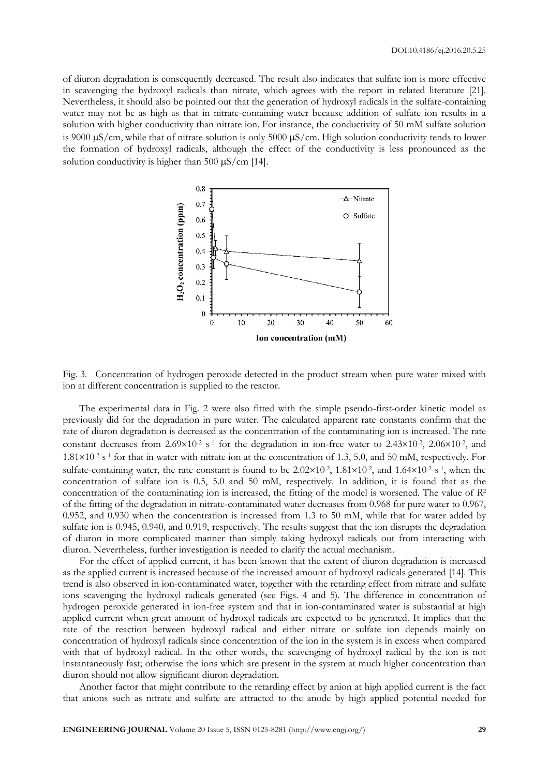of diuron degradation is consequently decreased. The result also indicates that sulfate ion is more effective in scavenging the hydroxyl radicals than nitrate, which agrees with the report in related literature [21]. Nevertheless, it should also be pointed out that the generation of hydroxyl radicals in the sulfate-containing water may not be as high as that in nitrate-containing water because addition of sulfate ion results in a solution with higher conductivity than nitrate ion. For instance, the conductivity of 50 mM sulfate solution is 9000  $\mu$ S/cm, while that of nitrate solution is only 5000  $\mu$ S/cm. High solution conductivity tends to lower the formation of hydroxyl radicals, although the effect of the conductivity is less pronounced as the solution conductivity is higher than 500  $\mu$ S/cm [14].



Fig. 3. Concentration of hydrogen peroxide detected in the product stream when pure water mixed with ion at different concentration is supplied to the reactor.

The experimental data in Fig. 2 were also fitted with the simple pseudo-first-order kinetic model as previously did for the degradation in pure water. The calculated apparent rate constants confirm that the rate of diuron degradation is decreased as the concentration of the contaminating ion is increased. The rate constant decreases from  $2.69 \times 10^{-2}$  s<sup>-1</sup> for the degradation in ion-free water to  $2.43 \times 10^{-2}$ ,  $2.06 \times 10^{-2}$ , and  $1.81\times10^{-2}$  s<sup>-1</sup> for that in water with nitrate ion at the concentration of 1.3, 5.0, and 50 mM, respectively. For sulfate-containing water, the rate constant is found to be  $2.02 \times 10^{-2}$ ,  $1.81 \times 10^{-2}$ , and  $1.64 \times 10^{-2}$  s<sup>-1</sup>, when the concentration of sulfate ion is 0.5, 5.0 and 50 mM, respectively. In addition, it is found that as the concentration of the contaminating ion is increased, the fitting of the model is worsened. The value of *R*<sup>2</sup> of the fitting of the degradation in nitrate-contaminated water decreases from 0.968 for pure water to 0.967, 0.952, and 0.930 when the concentration is increased from 1.3 to 50 mM, while that for water added by sulfate ion is 0.945, 0.940, and 0.919, respectively. The results suggest that the ion disrupts the degradation of diuron in more complicated manner than simply taking hydroxyl radicals out from interacting with diuron. Nevertheless, further investigation is needed to clarify the actual mechanism.

For the effect of applied current, it has been known that the extent of diuron degradation is increased as the applied current is increased because of the increased amount of hydroxyl radicals generated [14]. This trend is also observed in ion-contaminated water, together with the retarding effect from nitrate and sulfate ions scavenging the hydroxyl radicals generated (see Figs. 4 and 5). The difference in concentration of hydrogen peroxide generated in ion-free system and that in ion-contaminated water is substantial at high applied current when great amount of hydroxyl radicals are expected to be generated. It implies that the rate of the reaction between hydroxyl radical and either nitrate or sulfate ion depends mainly on concentration of hydroxyl radicals since concentration of the ion in the system is in excess when compared with that of hydroxyl radical. In the other words, the scavenging of hydroxyl radical by the ion is not instantaneously fast; otherwise the ions which are present in the system at much higher concentration than diuron should not allow significant diuron degradation.

Another factor that might contribute to the retarding effect by anion at high applied current is the fact that anions such as nitrate and sulfate are attracted to the anode by high applied potential needed for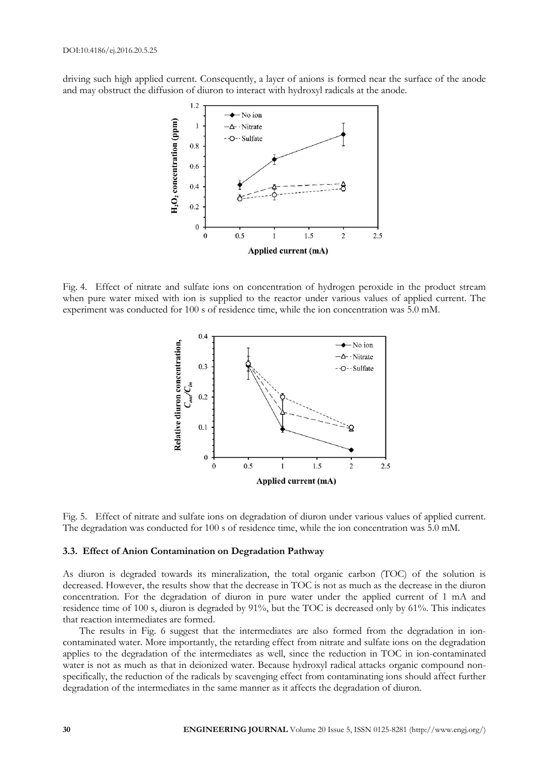driving such high applied current. Consequently, a layer of anions is formed near the surface of the anode and may obstruct the diffusion of diuron to interact with hydroxyl radicals at the anode.



Fig. 4. Effect of nitrate and sulfate ions on concentration of hydrogen peroxide in the product stream when pure water mixed with ion is supplied to the reactor under various values of applied current. The experiment was conducted for 100 s of residence time, while the ion concentration was 5.0 mM.



Fig. 5. Effect of nitrate and sulfate ions on degradation of diuron under various values of applied current. The degradation was conducted for 100 s of residence time, while the ion concentration was 5.0 mM.

#### **3.3. Effect of Anion Contamination on Degradation Pathway**

As diuron is degraded towards its mineralization, the total organic carbon (TOC) of the solution is decreased. However, the results show that the decrease in TOC is not as much as the decrease in the diuron concentration. For the degradation of diuron in pure water under the applied current of 1 mA and residence time of 100 s, diuron is degraded by 91%, but the TOC is decreased only by 61%. This indicates that reaction intermediates are formed.

The results in Fig. 6 suggest that the intermediates are also formed from the degradation in ioncontaminated water. More importantly, the retarding effect from nitrate and sulfate ions on the degradation applies to the degradation of the intermediates as well, since the reduction in TOC in ion-contaminated water is not as much as that in deionized water. Because hydroxyl radical attacks organic compound nonspecifically, the reduction of the radicals by scavenging effect from contaminating ions should affect further degradation of the intermediates in the same manner as it affects the degradation of diuron.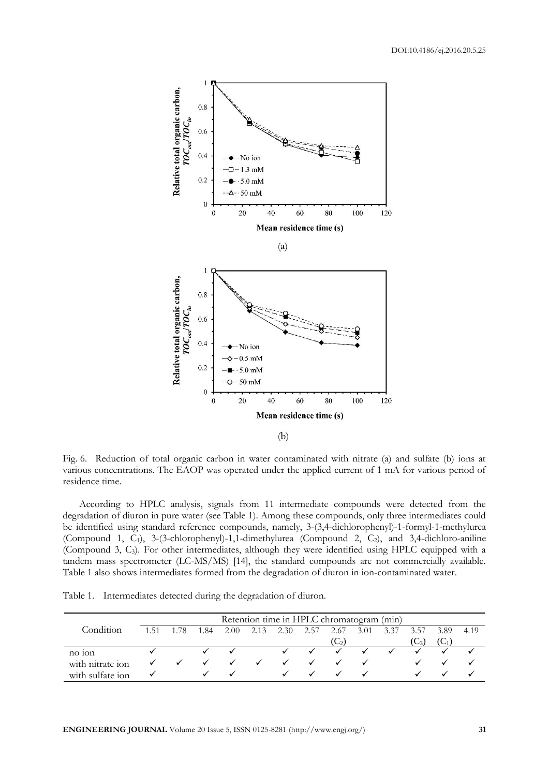

Fig. 6. Reduction of total organic carbon in water contaminated with nitrate (a) and sulfate (b) ions at various concentrations. The EAOP was operated under the applied current of 1 mA for various period of residence time.

According to HPLC analysis, signals from 11 intermediate compounds were detected from the degradation of diuron in pure water (see Table 1). Among these compounds, only three intermediates could be identified using standard reference compounds, namely, 3-(3,4-dichlorophenyl)-1-formyl-1-methylurea (Compound 1,  $\tilde{C}_1$ ), 3-(3-chlorophenyl)-1,1-dimethylurea (Compound 2,  $\tilde{C}_2$ ), and 3,4-dichloro-aniline (Compound 3, C3). For other intermediates, although they were identified using HPLC equipped with a tandem mass spectrometer (LC-MS/MS) [14], the standard compounds are not commercially available. Table 1 also shows intermediates formed from the degradation of diuron in ion-contaminated water.

Table 1. Intermediates detected during the degradation of diuron.

|                  | Retention time in HPLC chromatogram (min) |  |      |      |      |      |      |           |      |      |          |      |      |
|------------------|-------------------------------------------|--|------|------|------|------|------|-----------|------|------|----------|------|------|
| Condition        | 151                                       |  | 1.84 | 2.00 | 2.13 | 2.30 | 2.57 | 2.67      | 3.01 | 3.37 | 3.57     | 3.89 | 4.19 |
|                  |                                           |  |      |      |      |      |      | $(C_{2})$ |      |      | $U_{2i}$ |      |      |
| $no$ ton         |                                           |  |      |      |      |      |      |           |      |      |          |      |      |
| with nitrate ion |                                           |  |      |      |      |      |      |           |      |      |          |      |      |
| with sulfate ion |                                           |  |      |      |      |      |      |           |      |      |          |      |      |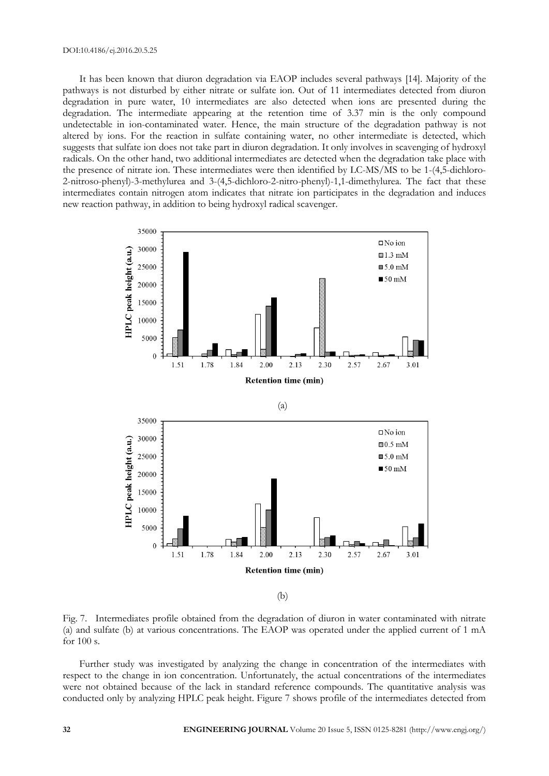#### DOI:10.4186/ej.2016.20.5.25

It has been known that diuron degradation via EAOP includes several pathways [14]. Majority of the pathways is not disturbed by either nitrate or sulfate ion. Out of 11 intermediates detected from diuron degradation in pure water, 10 intermediates are also detected when ions are presented during the degradation. The intermediate appearing at the retention time of 3.37 min is the only compound undetectable in ion-contaminated water. Hence, the main structure of the degradation pathway is not altered by ions. For the reaction in sulfate containing water, no other intermediate is detected, which suggests that sulfate ion does not take part in diuron degradation. It only involves in scavenging of hydroxyl radicals. On the other hand, two additional intermediates are detected when the degradation take place with the presence of nitrate ion. These intermediates were then identified by LC-MS/MS to be 1-(4,5-dichloro-2-nitroso-phenyl)-3-methylurea and 3-(4,5-dichloro-2-nitro-phenyl)-1,1-dimethylurea. The fact that these intermediates contain nitrogen atom indicates that nitrate ion participates in the degradation and induces new reaction pathway, in addition to being hydroxyl radical scavenger.



Fig. 7. Intermediates profile obtained from the degradation of diuron in water contaminated with nitrate (a) and sulfate (b) at various concentrations. The EAOP was operated under the applied current of 1 mA for 100 s.

Further study was investigated by analyzing the change in concentration of the intermediates with respect to the change in ion concentration. Unfortunately, the actual concentrations of the intermediates were not obtained because of the lack in standard reference compounds. The quantitative analysis was conducted only by analyzing HPLC peak height. Figure 7 shows profile of the intermediates detected from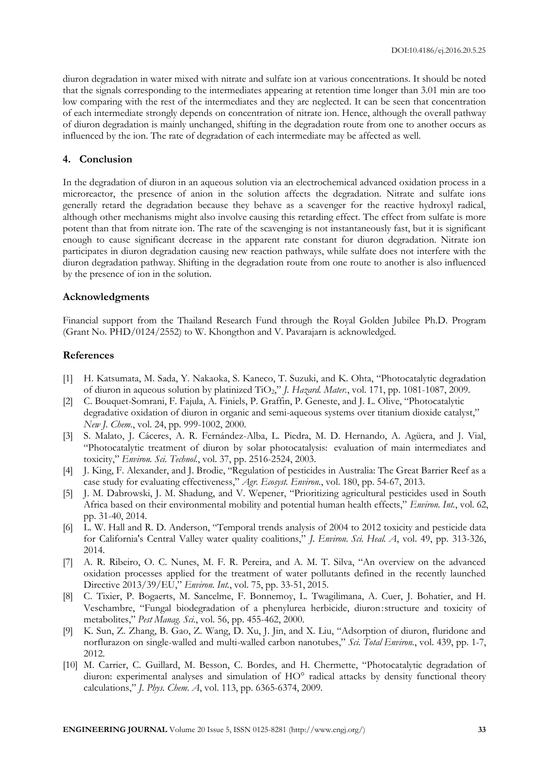diuron degradation in water mixed with nitrate and sulfate ion at various concentrations. It should be noted that the signals corresponding to the intermediates appearing at retention time longer than 3.01 min are too low comparing with the rest of the intermediates and they are neglected. It can be seen that concentration of each intermediate strongly depends on concentration of nitrate ion. Hence, although the overall pathway of diuron degradation is mainly unchanged, shifting in the degradation route from one to another occurs as influenced by the ion. The rate of degradation of each intermediate may be affected as well.

#### **4. Conclusion**

In the degradation of diuron in an aqueous solution via an electrochemical advanced oxidation process in a microreactor, the presence of anion in the solution affects the degradation. Nitrate and sulfate ions generally retard the degradation because they behave as a scavenger for the reactive hydroxyl radical, although other mechanisms might also involve causing this retarding effect. The effect from sulfate is more potent than that from nitrate ion. The rate of the scavenging is not instantaneously fast, but it is significant enough to cause significant decrease in the apparent rate constant for diuron degradation. Nitrate ion participates in diuron degradation causing new reaction pathways, while sulfate does not interfere with the diuron degradation pathway. Shifting in the degradation route from one route to another is also influenced by the presence of ion in the solution.

#### **Acknowledgments**

Financial support from the Thailand Research Fund through the Royal Golden Jubilee Ph.D. Program (Grant No. PHD/0124/2552) to W. Khongthon and V. Pavarajarn is acknowledged.

#### **References**

- [1] H. Katsumata, M. Sada, Y. Nakaoka, S. Kaneco, T. Suzuki, and K. Ohta, "Photocatalytic degradation of diuron in aqueous solution by platinized TiO2," *J. Hazard. Mater.*, vol. 171, pp. 1081-1087, 2009.
- [2] C. Bouquet-Somrani, F. Fajula, A. Finiels, P. Graffin, P. Geneste, and J. L. Olive, "Photocatalytic degradative oxidation of diuron in organic and semi-aqueous systems over titanium dioxide catalyst," *New J. Chem.*, vol. 24, pp. 999-1002, 2000.
- [3] S. Malato, J. Cáceres, A. R. Fernández-Alba, L. Piedra, M. D. Hernando, A. Agüera, and J. Vial, "Photocatalytic treatment of diuron by solar photocatalysis: evaluation of main intermediates and toxicity," *Environ. Sci. Technol.*, vol. 37, pp. 2516-2524, 2003.
- [4] J. King, F. Alexander, and J. Brodie, "Regulation of pesticides in Australia: The Great Barrier Reef as a case study for evaluating effectiveness," *Agr. Ecosyst. Environ.*, vol. 180, pp. 54-67, 2013.
- [5] J. M. Dabrowski, J. M. Shadung, and V. Wepener, "Prioritizing agricultural pesticides used in South Africa based on their environmental mobility and potential human health effects," *Environ. Int.*, vol. 62, pp. 31-40, 2014.
- [6] L. W. Hall and R. D. Anderson, "Temporal trends analysis of 2004 to 2012 toxicity and pesticide data for California's Central Valley water quality coalitions," *J. Environ. Sci. Heal. A*, vol. 49, pp. 313-326, 2014.
- [7] A. R. Ribeiro, O. C. Nunes, M. F. R. Pereira, and A. M. T. Silva, "An overview on the advanced oxidation processes applied for the treatment of water pollutants defined in the recently launched Directive 2013/39/EU," *Environ. Int.*, vol. 75, pp. 33-51, 2015.
- [8] C. Tixier, P. Bogaerts, M. Sancelme, F. Bonnemoy, L. Twagilimana, A. Cuer, J. Bohatier, and H. Veschambre, "Fungal biodegradation of a phenylurea herbicide, diuron:structure and toxicity of metabolites," *Pest Manag. Sci.*, vol. 56, pp. 455-462, 2000.
- [9] K. Sun, Z. Zhang, B. Gao, Z. Wang, D. Xu, J. Jin, and X. Liu, "Adsorption of diuron, fluridone and norflurazon on single-walled and multi-walled carbon nanotubes," *Sci. Total Environ.*, vol. 439, pp. 1-7, 2012.
- [10] M. Carrier, C. Guillard, M. Besson, C. Bordes, and H. Chermette, "Photocatalytic degradation of diuron: experimental analyses and simulation of HO° radical attacks by density functional theory calculations," *J. Phys. Chem. A*, vol. 113, pp. 6365-6374, 2009.